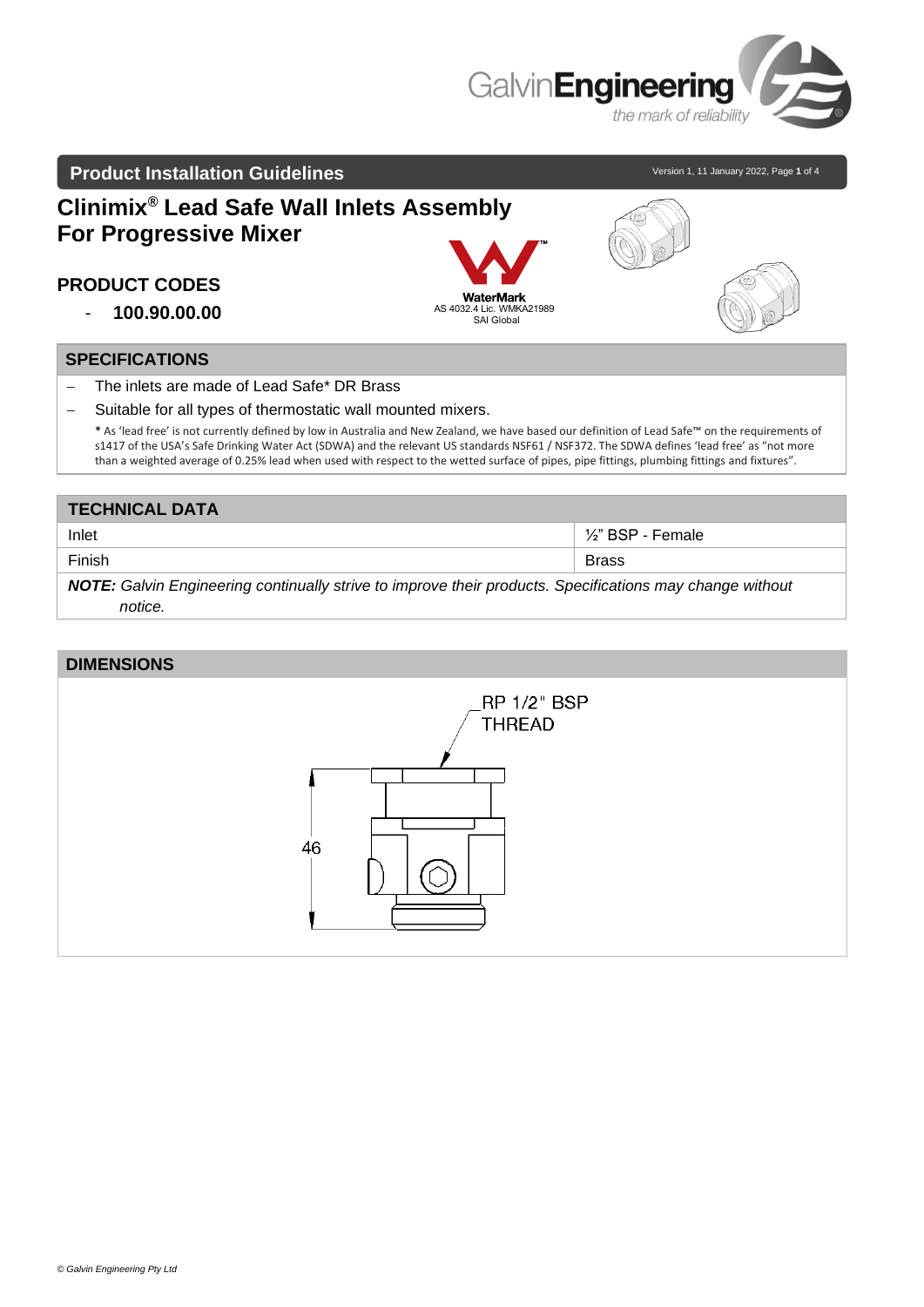

### **Product Installation Guidelines** and the state of the state of Version 1, 11 January 2022, Page 1 of 4

# **Clinimix® Lead Safe Wall Inlets Assembly For Progressive Mixer**

# **PRODUCT CODES**

- **100.90.00.00**

#### **SPECIFICATIONS**

- − The inlets are made of Lead Safe\* DR Brass
- − Suitable for all types of thermostatic wall mounted mixers.

**\*** As 'lead free' is not currently defined by low in Australia and New Zealand, we have based our definition of Lead Safe™ on the requirements of s1417 of the USA's Safe Drinking Water Act (SDWA) and the relevant US standards NSF61 / NSF372. The SDWA defines 'lead free' as "not more than a weighted average of 0.25% lead when used with respect to the wetted surface of pipes, pipe fittings, plumbing fittings and fixtures".

AS 4032.4 L<br>SA

**WaterMark** 

| <b>TECHNICAL DATA</b>                                                                                    |                                |
|----------------------------------------------------------------------------------------------------------|--------------------------------|
| Inlet                                                                                                    | 1/ <sub>2</sub> " BSP - Female |
| Finish                                                                                                   | <b>Brass</b>                   |
| NOTE: Galvin Engineering continually strive to improve their products. Specifications may change without |                                |
| notice.                                                                                                  |                                |

#### **DIMENSIONS**

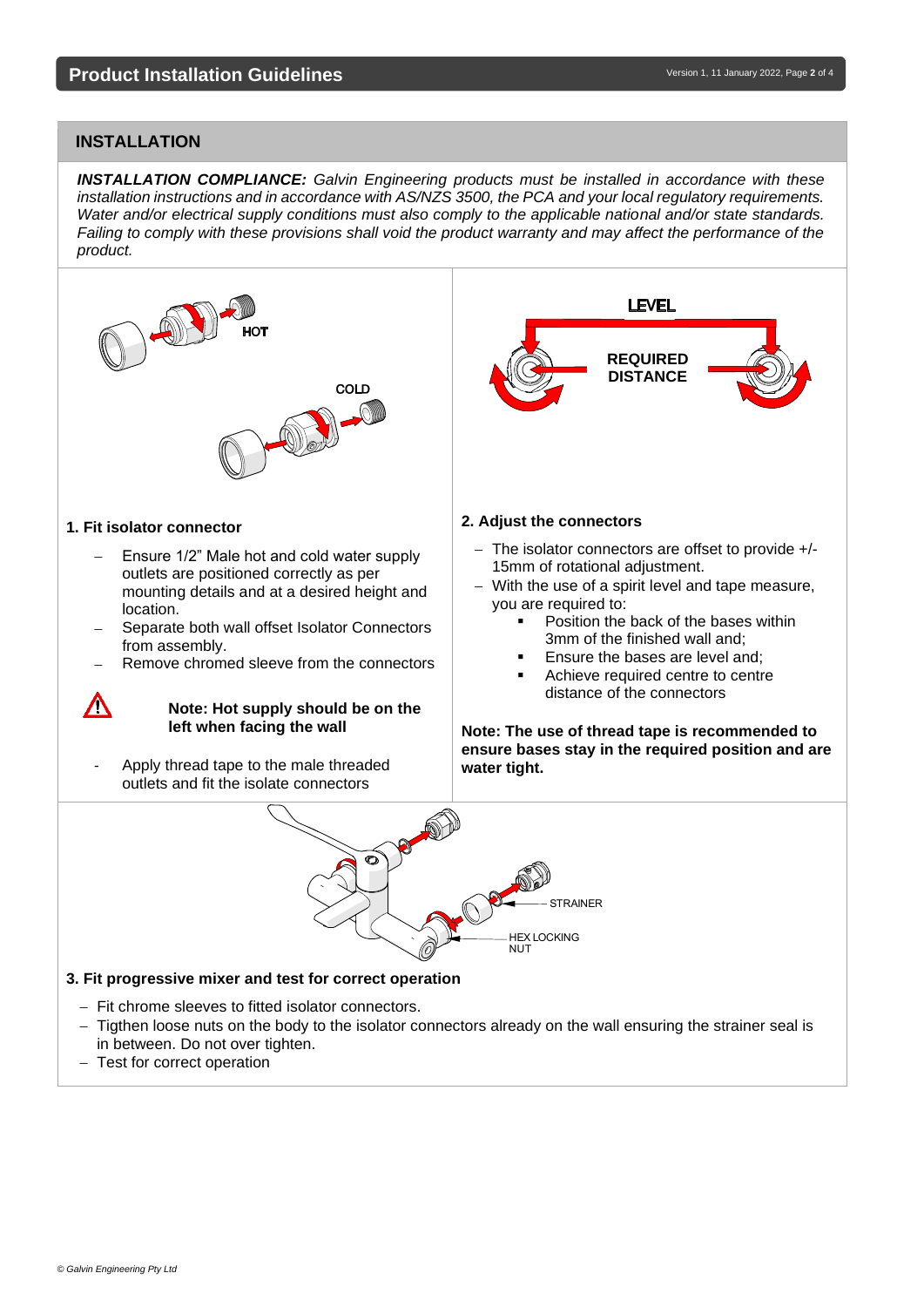## **INSTALLATION**

*INSTALLATION COMPLIANCE: Galvin Engineering products must be installed in accordance with these installation instructions and in accordance with AS/NZS 3500, the PCA and your local regulatory requirements. Water and/or electrical supply conditions must also comply to the applicable national and/or state standards. Failing to comply with these provisions shall void the product warranty and may affect the performance of the product.*

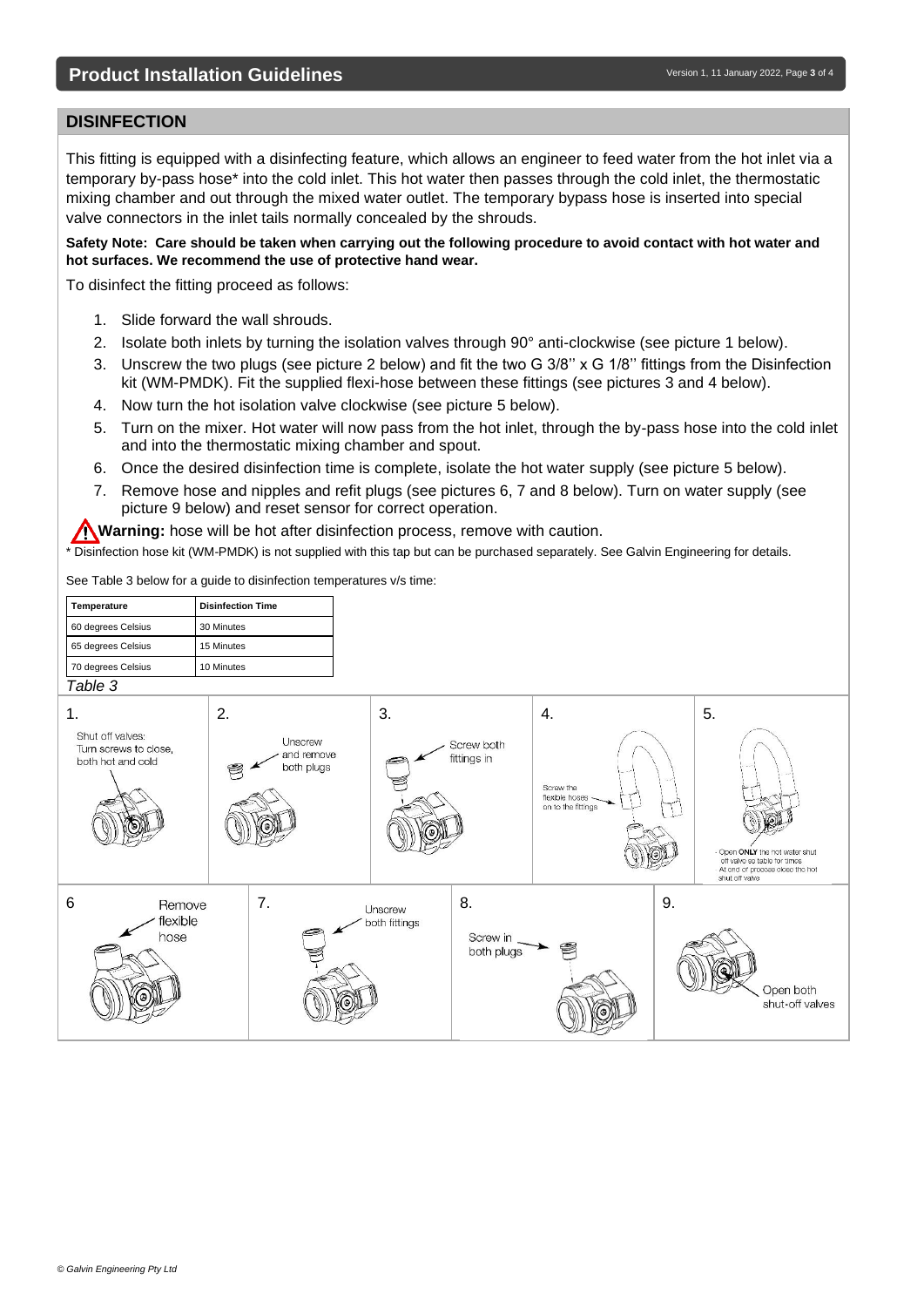#### **DISINFECTION**

This fitting is equipped with a disinfecting feature, which allows an engineer to feed water from the hot inlet via a temporary by-pass hose\* into the cold inlet. This hot water then passes through the cold inlet, the thermostatic mixing chamber and out through the mixed water outlet. The temporary bypass hose is inserted into special valve connectors in the inlet tails normally concealed by the shrouds.

**Safety Note: Care should be taken when carrying out the following procedure to avoid contact with hot water and hot surfaces. We recommend the use of protective hand wear.**

To disinfect the fitting proceed as follows:

- 1. Slide forward the wall shrouds.
- 2. Isolate both inlets by turning the isolation valves through 90° anti-clockwise (see picture 1 below).
- 3. Unscrew the two plugs (see picture 2 below) and fit the two G 3/8" x G 1/8" fittings from the Disinfection kit (WM-PMDK). Fit the supplied flexi-hose between these fittings (see pictures 3 and 4 below).
- 4. Now turn the hot isolation valve clockwise (see picture 5 below).
- 5. Turn on the mixer. Hot water will now pass from the hot inlet, through the by-pass hose into the cold inlet and into the thermostatic mixing chamber and spout.
- 6. Once the desired disinfection time is complete, isolate the hot water supply (see picture 5 below).
- 7. Remove hose and nipples and refit plugs (see pictures 6, 7 and 8 below). Turn on water supply (see picture 9 below) and reset sensor for correct operation.

**Warning:** hose will be hot after disinfection process, remove with caution.

\* Disinfection hose kit (WM-PMDK) is not supplied with this tap but can be purchased separately. See Galvin Engineering for details.

See Table 3 below for a guide to disinfection temperatures v/s time: